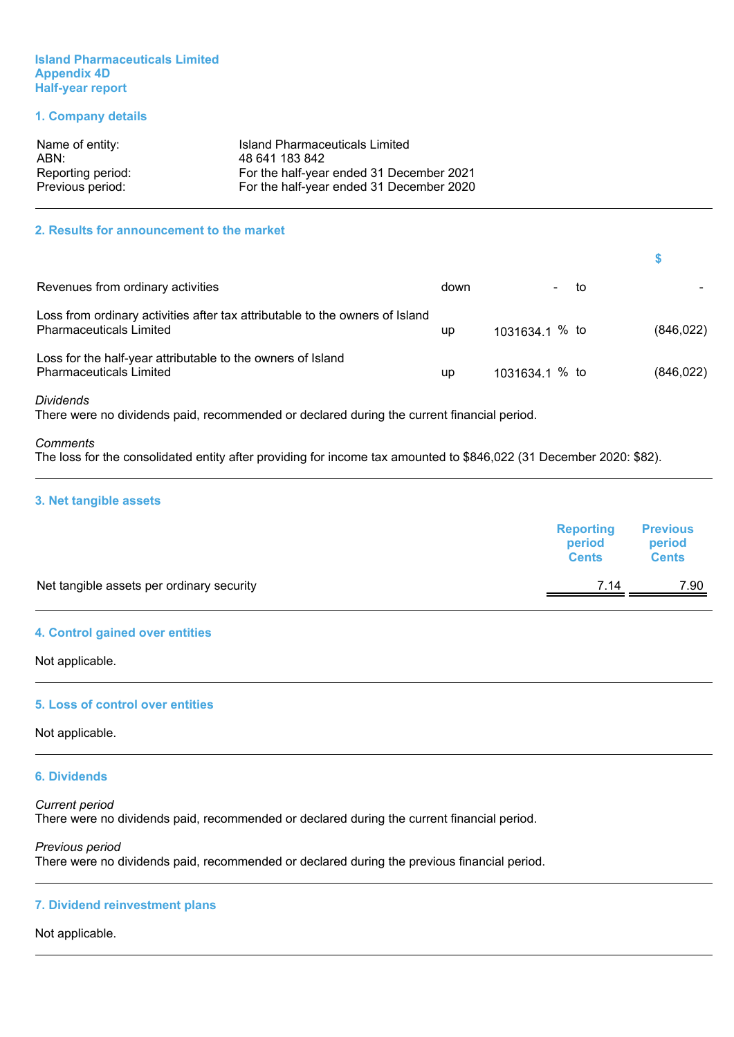#### **Island Pharmaceuticals Limited Appendix 4D Half-year report**

#### **1. Company details**

| Name of entity:   | Island Pharmaceuticals Limited           |
|-------------------|------------------------------------------|
| ABN:              | 48 641 183 842                           |
| Reporting period: | For the half-year ended 31 December 2021 |
| Previous period:  | For the half-year ended 31 December 2020 |

#### **2. Results for announcement to the market**

| Revenues from ordinary activities                                                                              | down | - to             |            |
|----------------------------------------------------------------------------------------------------------------|------|------------------|------------|
| Loss from ordinary activities after tax attributable to the owners of Island<br><b>Pharmaceuticals Limited</b> | up   | 1031634.1 $%$ to | (846, 022) |
| Loss for the half-year attributable to the owners of Island<br><b>Pharmaceuticals Limited</b>                  | up   | $1031634.1%$ to  | (846, 022) |

*Dividends*

There were no dividends paid, recommended or declared during the current financial period.

#### *Comments*

The loss for the consolidated entity after providing for income tax amounted to \$846,022 (31 December 2020: \$82).

#### **3. Net tangible assets**

|                                           | <b>Reporting</b><br>period<br><b>Cents</b> | <b>Previous</b><br>period<br><b>Cents</b> |
|-------------------------------------------|--------------------------------------------|-------------------------------------------|
| Net tangible assets per ordinary security | 7.14                                       | 7.90                                      |
|                                           |                                            |                                           |

#### **4. Control gained over entities**

Not applicable.

#### **5. Loss of control over entities**

Not applicable.

#### **6. Dividends**

#### *Current period* There were no dividends paid, recommended or declared during the current financial period.

*Previous period* There were no dividends paid, recommended or declared during the previous financial period.

#### **7. Dividend reinvestment plans**

#### Not applicable.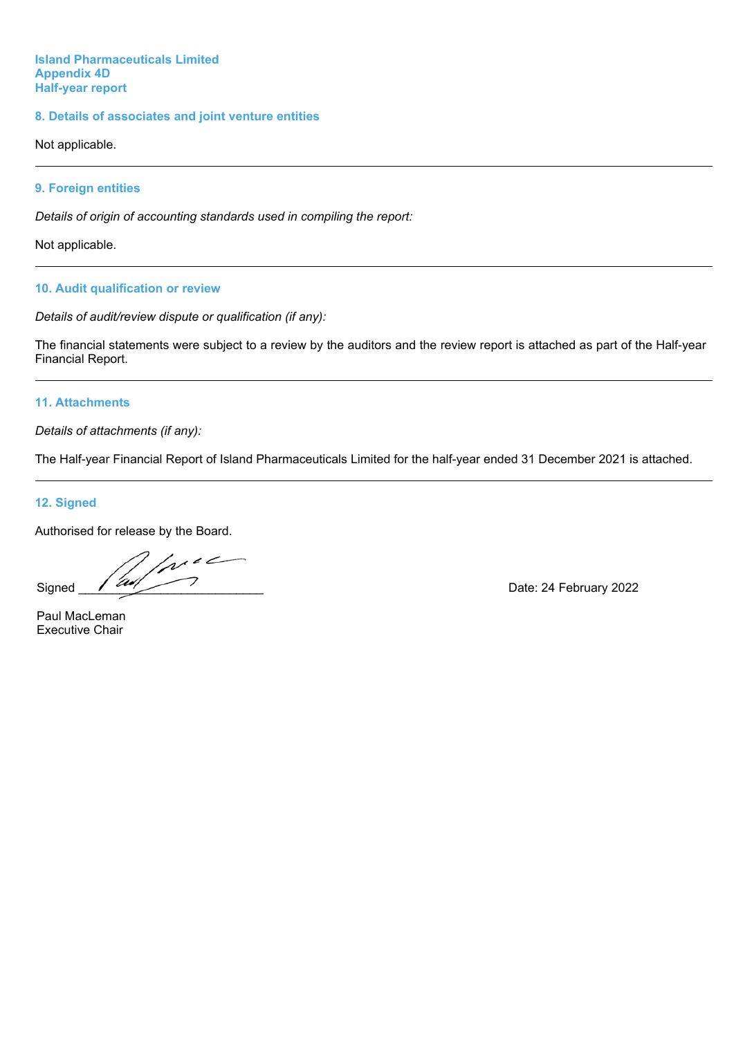#### **Island Pharmaceuticals Limited Appendix 4D Half-year report**

#### **8. Details of associates and joint venture entities**

Not applicable.

#### **9. Foreign entities**

*Details of origin of accounting standards used in compiling the report:*

Not applicable.

#### **10. Audit qualification or review**

*Details of audit/review dispute or qualification (if any):*

The financial statements were subject to a review by the auditors and the review report is attached as part of the Half-year Financial Report.

#### **11. Attachments**

*Details of attachments (if any):*

The Half-year Financial Report of Island Pharmaceuticals Limited for the half-year ended 31 December 2021 is attached.

#### **12. Signed**

Authorised for release by the Board.

 $\sqrt{1-\epsilon}$ Signed  $\sqrt{2\pi/7}$ 

Paul MacLeman Executive Chair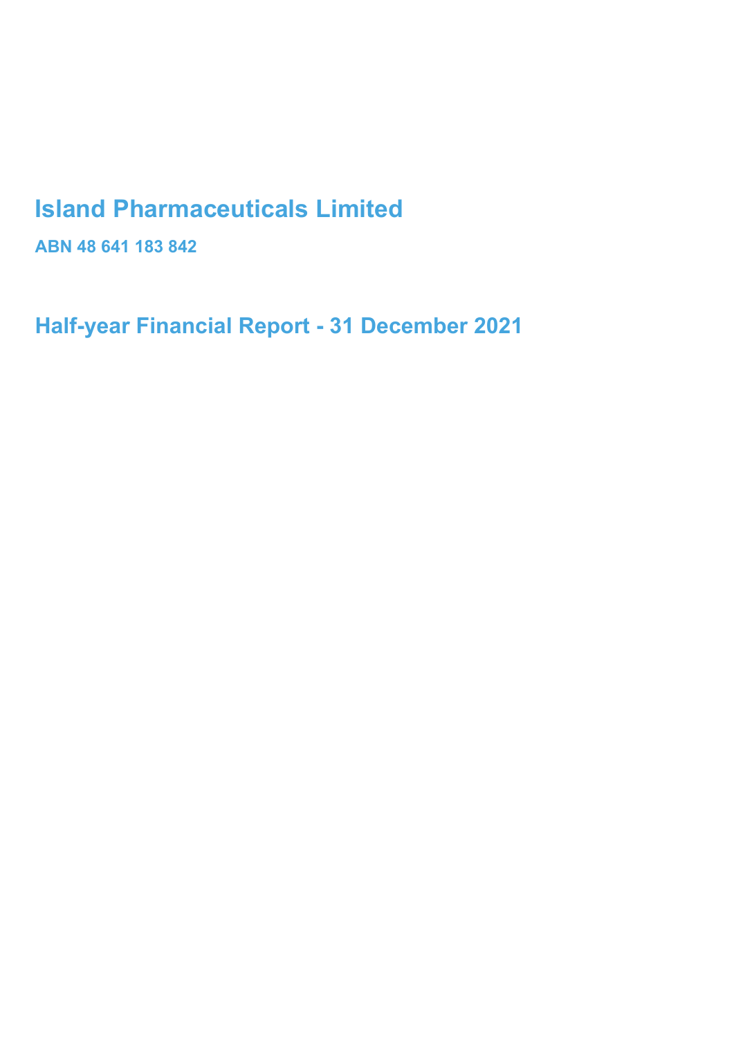# **Island Pharmaceuticals Limited**

**ABN 48 641 183 842** 

**Half-year Financial Report - 31 December 2021**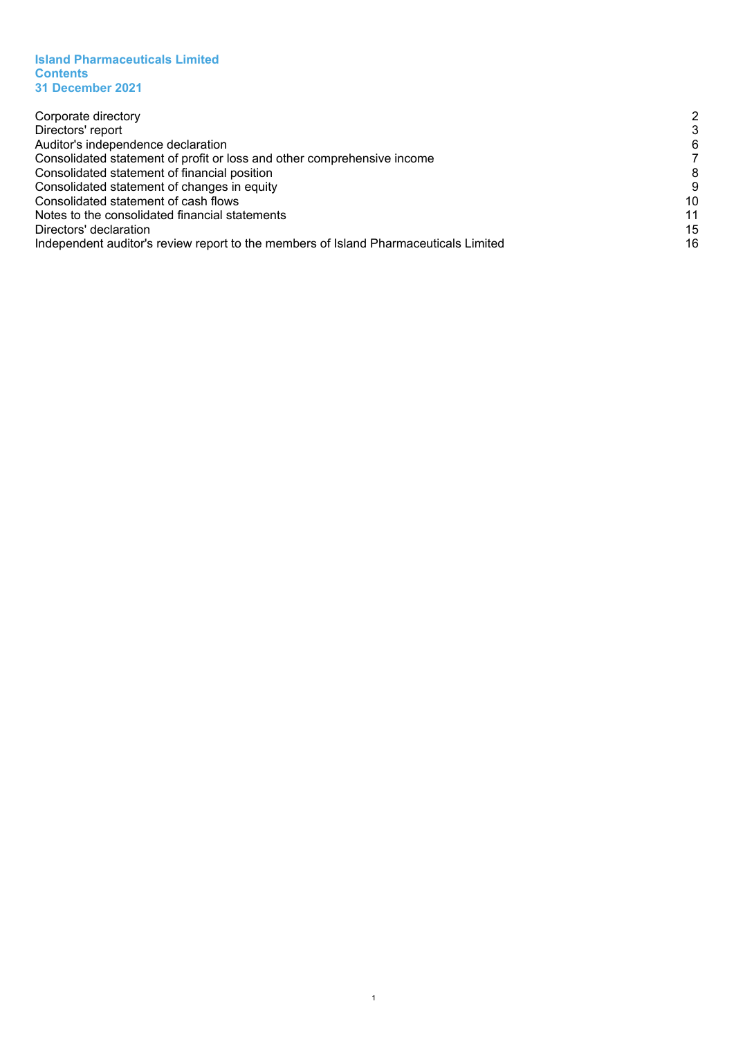#### **Island Pharmaceuticals Limited Contents 31 December 2021**

| Corporate directory                                                                  | 2  |
|--------------------------------------------------------------------------------------|----|
| Directors' report                                                                    | 3  |
| Auditor's independence declaration                                                   | 6  |
| Consolidated statement of profit or loss and other comprehensive income              |    |
| Consolidated statement of financial position                                         | 8  |
| Consolidated statement of changes in equity                                          | g  |
| Consolidated statement of cash flows                                                 | 10 |
| Notes to the consolidated financial statements                                       | 11 |
| Directors' declaration                                                               | 15 |
| Independent auditor's review report to the members of Island Pharmaceuticals Limited | 16 |
|                                                                                      |    |

1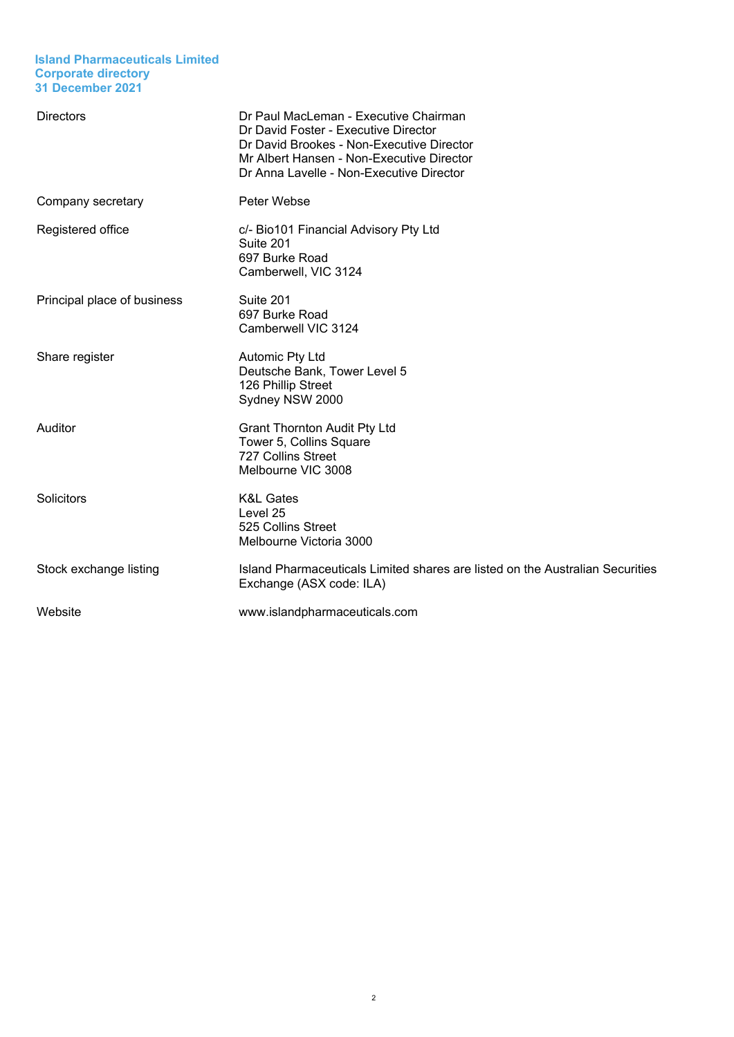#### **Island Pharmaceuticals Limited Corporate directory 31 December 2021**

<span id="page-4-0"></span>

| <b>Directors</b>            | Dr Paul MacLeman - Executive Chairman<br>Dr David Foster - Executive Director<br>Dr David Brookes - Non-Executive Director<br>Mr Albert Hansen - Non-Executive Director<br>Dr Anna Lavelle - Non-Executive Director |
|-----------------------------|---------------------------------------------------------------------------------------------------------------------------------------------------------------------------------------------------------------------|
| Company secretary           | Peter Webse                                                                                                                                                                                                         |
| Registered office           | c/- Bio101 Financial Advisory Pty Ltd<br>Suite 201<br>697 Burke Road<br>Camberwell, VIC 3124                                                                                                                        |
| Principal place of business | Suite 201<br>697 Burke Road<br>Camberwell VIC 3124                                                                                                                                                                  |
| Share register              | Automic Pty Ltd<br>Deutsche Bank, Tower Level 5<br>126 Phillip Street<br>Sydney NSW 2000                                                                                                                            |
| Auditor                     | <b>Grant Thornton Audit Pty Ltd</b><br>Tower 5, Collins Square<br>727 Collins Street<br>Melbourne VIC 3008                                                                                                          |
| Solicitors                  | <b>K&amp;L Gates</b><br>Level 25<br>525 Collins Street<br>Melbourne Victoria 3000                                                                                                                                   |
| Stock exchange listing      | Island Pharmaceuticals Limited shares are listed on the Australian Securities<br>Exchange (ASX code: ILA)                                                                                                           |
| Website                     | www.islandpharmaceuticals.com                                                                                                                                                                                       |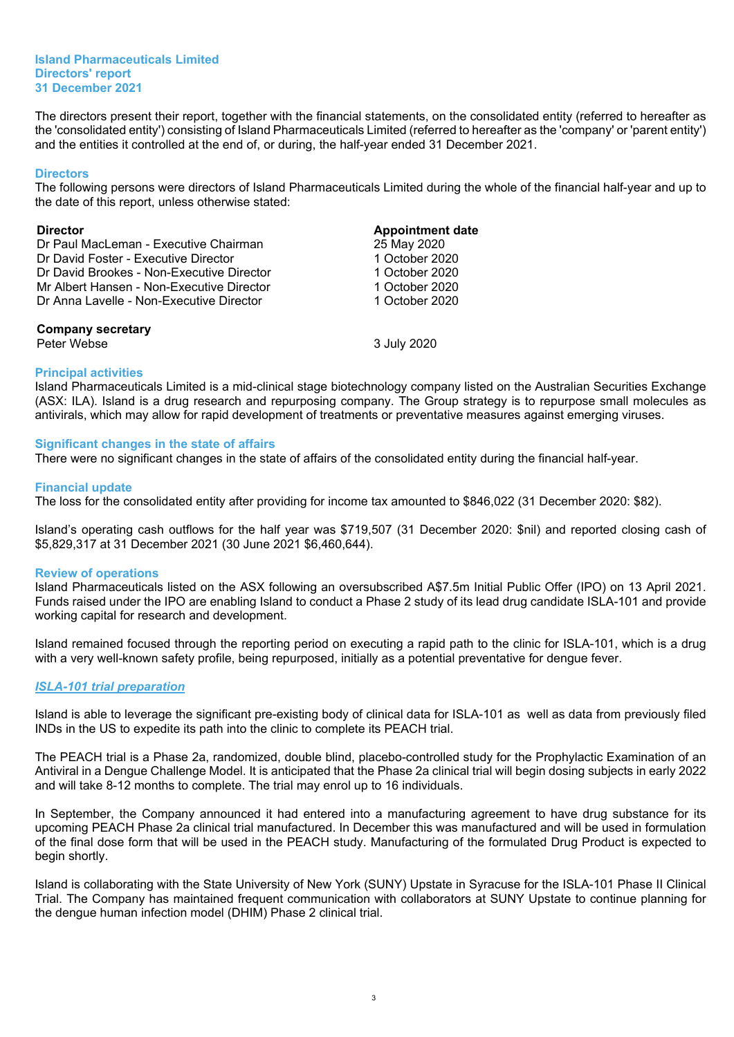#### **Island Pharmaceuticals Limited Directors' report 31 December 2021**

<span id="page-5-0"></span>The directors present their report, together with the financial statements, on the consolidated entity (referred to hereafter as the 'consolidated entity') consisting of Island Pharmaceuticals Limited (referred to hereafter as the 'company' or 'parent entity') and the entities it controlled at the end of, or during, the half-year ended 31 December 2021.

#### **Directors**

The following persons were directors of Island Pharmaceuticals Limited during the whole of the financial half-year and up to the date of this report, unless otherwise stated:

#### **Director Appointment date**

| Dr Paul MacLeman - Executive Chairman     | 25 May 2020    |
|-------------------------------------------|----------------|
| Dr David Foster - Executive Director      | 1 October 2020 |
| Dr David Brookes - Non-Executive Director | 1 October 2020 |
| Mr Albert Hansen - Non-Executive Director | 1 October 2020 |
| Dr Anna Lavelle - Non-Executive Director  | 1 October 2020 |
| <b>Company secretary</b>                  |                |
| Peter Webse                               | 3 July 2020    |

#### **Principal activities**

Island Pharmaceuticals Limited is a mid-clinical stage biotechnology company listed on the Australian Securities Exchange (ASX: ILA). Island is a drug research and repurposing company. The Group strategy is to repurpose small molecules as antivirals, which may allow for rapid development of treatments or preventative measures against emerging viruses.

#### **Significant changes in the state of affairs**

There were no significant changes in the state of affairs of the consolidated entity during the financial half-year.

#### **Financial update**

The loss for the consolidated entity after providing for income tax amounted to \$846,022 (31 December 2020: \$82).

Island's operating cash outflows for the half year was \$719,507 (31 December 2020: \$nil) and reported closing cash of \$5,829,317 at 31 December 2021 (30 June 2021 \$6,460,644).

#### **Review of operations**

Island Pharmaceuticals listed on the ASX following an oversubscribed A\$7.5m Initial Public Offer (IPO) on 13 April 2021. Funds raised under the IPO are enabling Island to conduct a Phase 2 study of its lead drug candidate ISLA-101 and provide working capital for research and development.

Island remained focused through the reporting period on executing a rapid path to the clinic for ISLA-101, which is a drug with a very well-known safety profile, being repurposed, initially as a potential preventative for dengue fever.

#### *ISLA-101 trial preparation*

Island is able to leverage the significant pre-existing body of clinical data for ISLA-101 as well as data from previously filed INDs in the US to expedite its path into the clinic to complete its PEACH trial.

The PEACH trial is a Phase 2a, randomized, double blind, placebo-controlled study for the Prophylactic Examination of an Antiviral in a Dengue Challenge Model. It is anticipated that the Phase 2a clinical trial will begin dosing subjects in early 2022 and will take 8-12 months to complete. The trial may enrol up to 16 individuals.

In September, the Company announced it had entered into a manufacturing agreement to have drug substance for its upcoming PEACH Phase 2a clinical trial manufactured. In December this was manufactured and will be used in formulation of the final dose form that will be used in the PEACH study. Manufacturing of the formulated Drug Product is expected to begin shortly.

Island is collaborating with the State University of New York (SUNY) Upstate in Syracuse for the ISLA-101 Phase II Clinical Trial. The Company has maintained frequent communication with collaborators at SUNY Upstate to continue planning for the dengue human infection model (DHIM) Phase 2 clinical trial.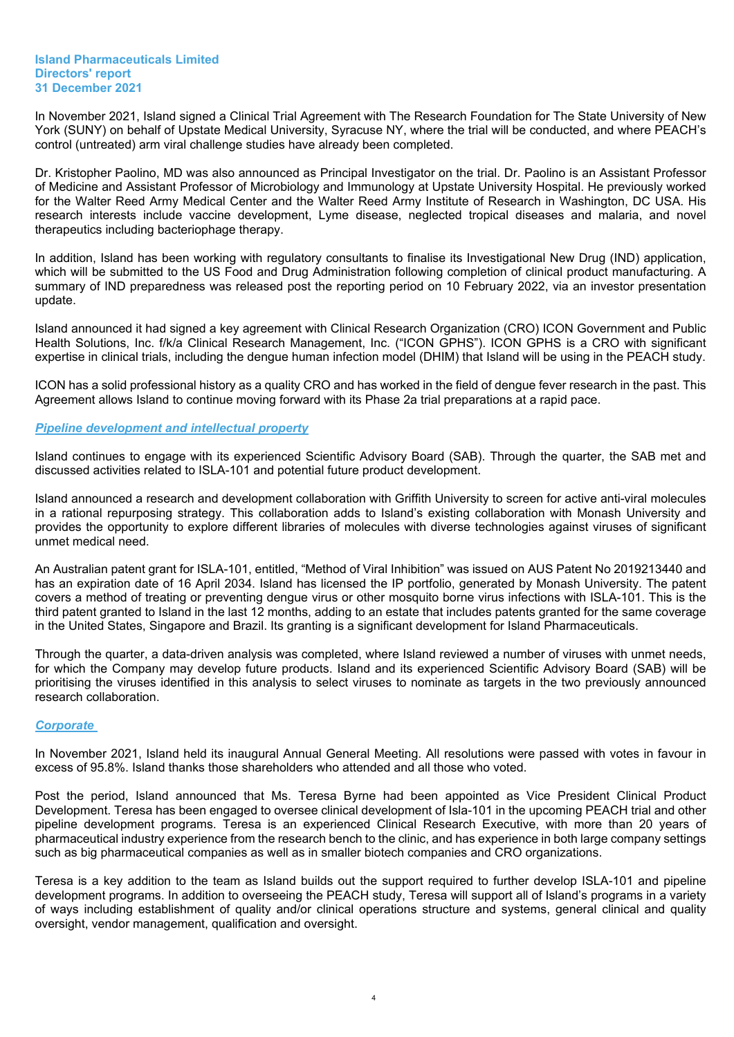In November 2021, Island signed a Clinical Trial Agreement with The Research Foundation for The State University of New York (SUNY) on behalf of Upstate Medical University, Syracuse NY, where the trial will be conducted, and where PEACH's control (untreated) arm viral challenge studies have already been completed.

Dr. Kristopher Paolino, MD was also announced as Principal Investigator on the trial. Dr. Paolino is an Assistant Professor of Medicine and Assistant Professor of Microbiology and Immunology at Upstate University Hospital. He previously worked for the Walter Reed Army Medical Center and the Walter Reed Army Institute of Research in Washington, DC USA. His research interests include vaccine development, Lyme disease, neglected tropical diseases and malaria, and novel therapeutics including bacteriophage therapy.

In addition, Island has been working with regulatory consultants to finalise its Investigational New Drug (IND) application, which will be submitted to the US Food and Drug Administration following completion of clinical product manufacturing. A summary of IND preparedness was released post the reporting period on 10 February 2022, via an investor presentation update.

Island announced it had signed a key agreement with Clinical Research Organization (CRO) ICON Government and Public Health Solutions, Inc. f/k/a Clinical Research Management, Inc. ("ICON GPHS"). ICON GPHS is a CRO with significant expertise in clinical trials, including the dengue human infection model (DHIM) that Island will be using in the PEACH study.

ICON has a solid professional history as a quality CRO and has worked in the field of dengue fever research in the past. This Agreement allows Island to continue moving forward with its Phase 2a trial preparations at a rapid pace.

#### *Pipeline development and intellectual property*

Island continues to engage with its experienced Scientific Advisory Board (SAB). Through the quarter, the SAB met and discussed activities related to ISLA-101 and potential future product development.

Island announced a research and development collaboration with Griffith University to screen for active anti-viral molecules in a rational repurposing strategy. This collaboration adds to Island's existing collaboration with Monash University and provides the opportunity to explore different libraries of molecules with diverse technologies against viruses of significant unmet medical need.

An Australian patent grant for ISLA-101, entitled, "Method of Viral Inhibition" was issued on AUS Patent No 2019213440 and has an expiration date of 16 April 2034. Island has licensed the IP portfolio, generated by Monash University. The patent covers a method of treating or preventing dengue virus or other mosquito borne virus infections with ISLA-101. This is the third patent granted to Island in the last 12 months, adding to an estate that includes patents granted for the same coverage in the United States, Singapore and Brazil. Its granting is a significant development for Island Pharmaceuticals.

Through the quarter, a data-driven analysis was completed, where Island reviewed a number of viruses with unmet needs, for which the Company may develop future products. Island and its experienced Scientific Advisory Board (SAB) will be prioritising the viruses identified in this analysis to select viruses to nominate as targets in the two previously announced research collaboration.

#### *Corporate*

In November 2021, Island held its inaugural Annual General Meeting. All resolutions were passed with votes in favour in excess of 95.8%. Island thanks those shareholders who attended and all those who voted.

Post the period, Island announced that Ms. Teresa Byrne had been appointed as Vice President Clinical Product Development. Teresa has been engaged to oversee clinical development of Isla-101 in the upcoming PEACH trial and other pipeline development programs. Teresa is an experienced Clinical Research Executive, with more than 20 years of pharmaceutical industry experience from the research bench to the clinic, and has experience in both large company settings such as big pharmaceutical companies as well as in smaller biotech companies and CRO organizations.

Teresa is a key addition to the team as Island builds out the support required to further develop ISLA-101 and pipeline development programs. In addition to overseeing the PEACH study, Teresa will support all of Island's programs in a variety of ways including establishment of quality and/or clinical operations structure and systems, general clinical and quality oversight, vendor management, qualification and oversight.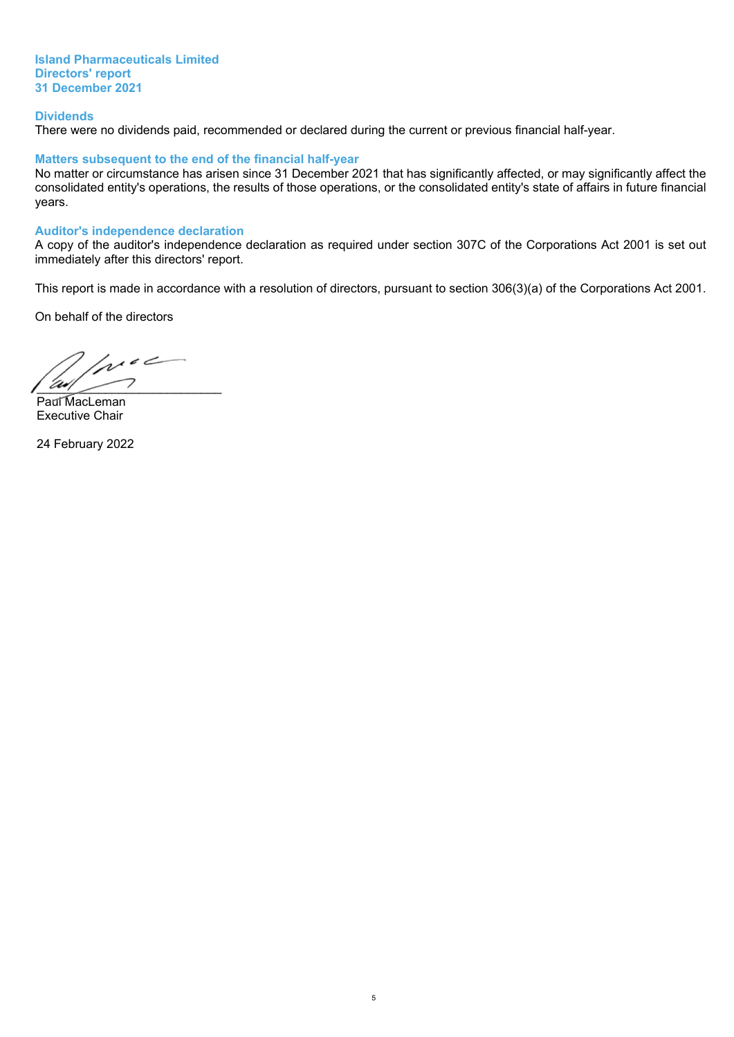**Island Pharmaceuticals Limited Directors' report 31 December 2021**

#### **Dividends**

There were no dividends paid, recommended or declared during the current or previous financial half-year.

#### **Matters subsequent to the end of the financial half-year**

No matter or circumstance has arisen since 31 December 2021 that has significantly affected, or may significantly affect the consolidated entity's operations, the results of those operations, or the consolidated entity's state of affairs in future financial years.

#### **Auditor's independence declaration**

A copy of the auditor's independence declaration as required under section 307C of the Corporations Act 2001 is set out immediately after this directors' report.

This report is made in accordance with a resolution of directors, pursuant to section 306(3)(a) of the Corporations Act 2001.

On behalf of the directors

 $1/10<sup>2</sup>$  $\overline{\phantom{a}}$ 

Paul MacLeman Executive Chair

24 February 2022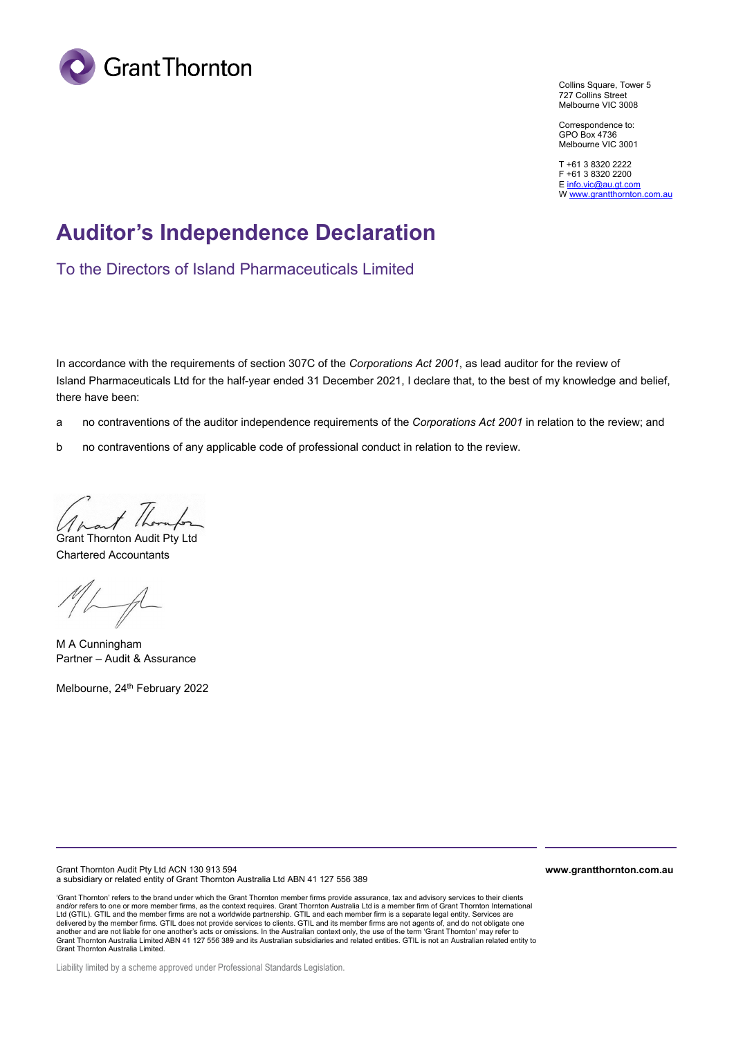

Collins Square, Tower 5 727 Collins Street Melbourne VIC 3008

Correspondence to: GPO Box 4736 Melbourne VIC 3001

T +61 3 8320 2222 F +61 3 8320 2200 [E info.vic@au.gt.com](mailto:info.vic@au.gt.com)  W www.grantthornton.com.au

### **Auditor's Independence Declaration**

To the Directors of Island Pharmaceuticals Limited

In accordance with the requirements of section 307C of the *Corporations Act 2001*, as lead auditor for the review of Island Pharmaceuticals Ltd for the half-year ended 31 December 2021, I declare that, to the best of my knowledge and belief, there have been:

- a no contraventions of the auditor independence requirements of the *Corporations Act 2001* in relation to the review; and
- b no contraventions of any applicable code of professional conduct in relation to the review.

1 /hornfor

Grant Thornton Audit Pty Ltd Chartered Accountants

 $M_{\sim}$ 

M A Cunningham Partner – Audit & Assurance

Melbourne, 24<sup>th</sup> February 2022

Grant Thornton Audit Pty Ltd ACN 130 913 594 a subsidiary or related entity of Grant Thornton Australia Ltd ABN 41 127 556 389

'Grant Thornton' refers to the brand under which the Grant Thornton member firms provide assurance, tax and advisory services to their clients<br>and/or refers to one or more member firms, as the context requires. Grant Thorn another and are not liable for one another's acts or omissions. In the Australian context only, the use of the term 'Grant Thornton' may refer to<br>Grant Thornton Australia Limited ABN 41 127 556 389 and its Australian subsi Grant Thornton Australia Limited.

Liability limited by a scheme approved under Professional Standards Legislation.

**www.grantthornton.com.au**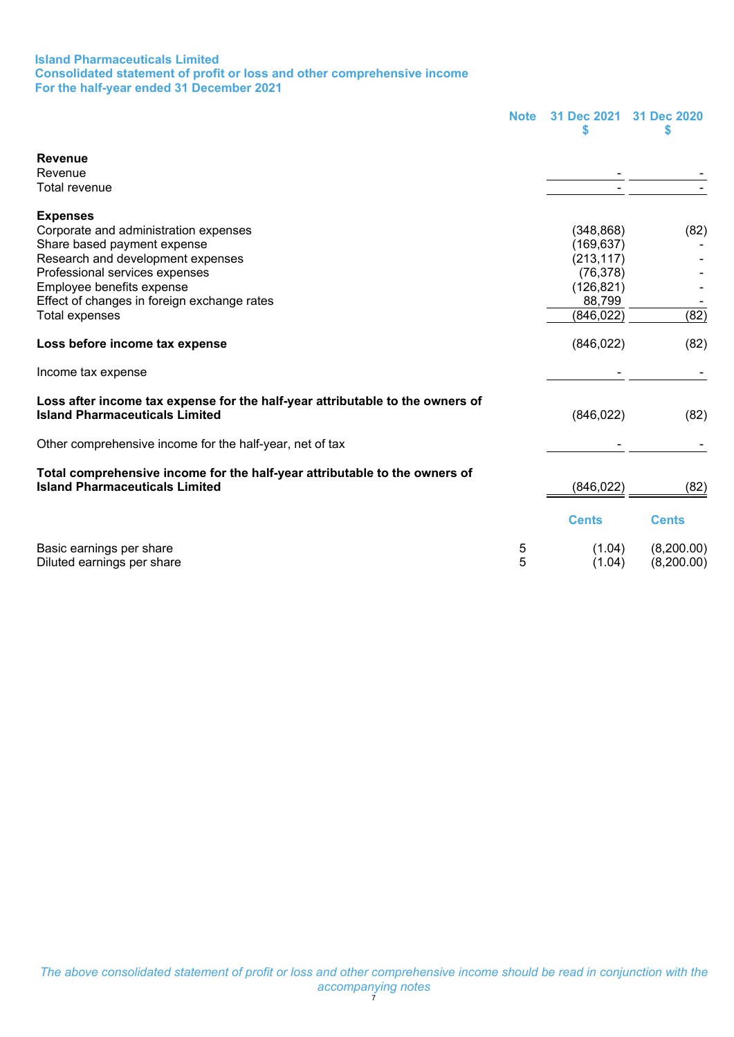#### **Island Pharmaceuticals Limited Consolidated statement of profit or loss and other comprehensive income For the half-year ended 31 December 2021**

<span id="page-9-0"></span>

|                                                                                                                        | <b>Note</b> | 31 Dec 2021  | 31 Dec 2020<br>S |
|------------------------------------------------------------------------------------------------------------------------|-------------|--------------|------------------|
| <b>Revenue</b>                                                                                                         |             |              |                  |
| Revenue                                                                                                                |             |              |                  |
| Total revenue                                                                                                          |             |              |                  |
| <b>Expenses</b>                                                                                                        |             |              |                  |
| Corporate and administration expenses                                                                                  |             | (348, 868)   | (82)             |
| Share based payment expense                                                                                            |             | (169,637)    |                  |
| Research and development expenses                                                                                      |             | (213, 117)   |                  |
| Professional services expenses                                                                                         |             | (76, 378)    |                  |
| Employee benefits expense                                                                                              |             | (126, 821)   |                  |
| Effect of changes in foreign exchange rates                                                                            |             | 88,799       |                  |
| <b>Total expenses</b>                                                                                                  |             | (846, 022)   | (82)             |
| Loss before income tax expense                                                                                         |             | (846, 022)   | (82)             |
| Income tax expense                                                                                                     |             |              |                  |
| Loss after income tax expense for the half-year attributable to the owners of<br><b>Island Pharmaceuticals Limited</b> |             | (846, 022)   | (82)             |
| Other comprehensive income for the half-year, net of tax                                                               |             |              |                  |
| Total comprehensive income for the half-year attributable to the owners of<br><b>Island Pharmaceuticals Limited</b>    |             | (846, 022)   | (82)             |
|                                                                                                                        |             | <b>Cents</b> | <b>Cents</b>     |
| Basic earnings per share                                                                                               | 5           | (1.04)       | (8,200.00)       |
| Diluted earnings per share                                                                                             | 5           | (1.04)       | (8,200.00)       |
|                                                                                                                        |             |              |                  |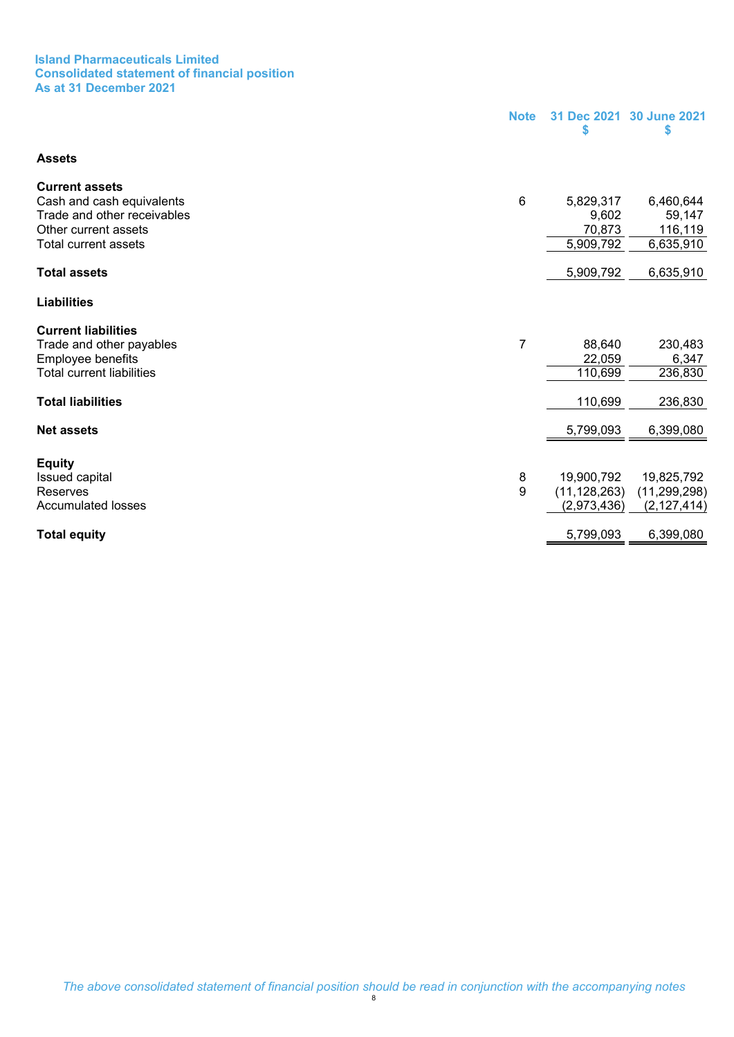#### **Island Pharmaceuticals Limited Consolidated statement of financial position As at 31 December 2021**

<span id="page-10-0"></span>

|                                                     | <b>Note</b> | 31 Dec 2021<br>\$            | 30 June 2021<br>\$           |
|-----------------------------------------------------|-------------|------------------------------|------------------------------|
| <b>Assets</b>                                       |             |                              |                              |
| <b>Current assets</b>                               |             |                              |                              |
| Cash and cash equivalents                           | $\,6$       | 5,829,317                    | 6,460,644                    |
| Trade and other receivables                         |             | 9,602                        | 59,147                       |
| Other current assets<br><b>Total current assets</b> |             | 70,873<br>5,909,792          | 116,119<br>6,635,910         |
|                                                     |             |                              |                              |
| <b>Total assets</b>                                 |             | 5,909,792                    | 6,635,910                    |
| <b>Liabilities</b>                                  |             |                              |                              |
| <b>Current liabilities</b>                          |             |                              |                              |
| Trade and other payables                            | 7           | 88,640                       | 230,483                      |
| Employee benefits                                   |             | 22,059                       | 6,347                        |
| <b>Total current liabilities</b>                    |             | 110,699                      | 236,830                      |
| <b>Total liabilities</b>                            |             | 110,699                      | 236,830                      |
| <b>Net assets</b>                                   |             | 5,799,093                    | 6,399,080                    |
|                                                     |             |                              |                              |
| <b>Equity</b>                                       |             |                              |                              |
| Issued capital<br>Reserves                          | 8<br>9      | 19,900,792<br>(11, 128, 263) | 19,825,792<br>(11, 299, 298) |
| <b>Accumulated losses</b>                           |             | (2,973,436)                  | (2, 127, 414)                |
|                                                     |             |                              |                              |
| <b>Total equity</b>                                 |             | 5,799,093                    | 6,399,080                    |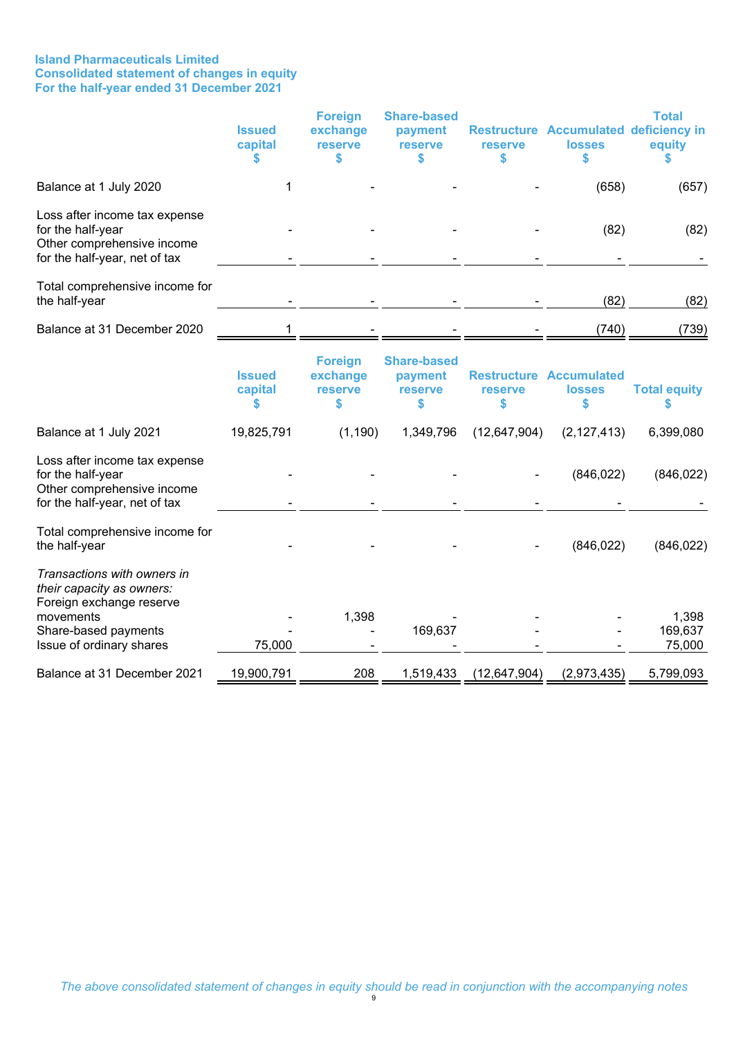#### **Island Pharmaceuticals Limited Consolidated statement of changes in equity For the half-year ended 31 December 2021**

<span id="page-11-0"></span>

|                                                                                                                                                       | <b>Issued</b><br>capital | <b>Foreign</b><br>exchange<br><b>reserve</b><br>S  | <b>Share-based</b><br>payment<br><b>reserve</b><br>S  | <b>reserve</b><br>\$ | Restructure Accumulated deficiency in<br><b>losses</b><br>\$ | <b>Total</b><br>equity<br>S |
|-------------------------------------------------------------------------------------------------------------------------------------------------------|--------------------------|----------------------------------------------------|-------------------------------------------------------|----------------------|--------------------------------------------------------------|-----------------------------|
| Balance at 1 July 2020                                                                                                                                | 1                        |                                                    |                                                       |                      | (658)                                                        | (657)                       |
| Loss after income tax expense<br>for the half-year<br>Other comprehensive income<br>for the half-year, net of tax                                     |                          |                                                    |                                                       |                      | (82)                                                         | (82)                        |
| Total comprehensive income for<br>the half-year                                                                                                       |                          |                                                    |                                                       |                      | (82)                                                         | (82)                        |
| Balance at 31 December 2020                                                                                                                           |                          |                                                    |                                                       |                      | (740)                                                        | (739)                       |
|                                                                                                                                                       | <b>Issued</b><br>capital | <b>Foreign</b><br>exchange<br><b>reserve</b><br>\$ | <b>Share-based</b><br>payment<br><b>reserve</b><br>\$ | reserve<br>\$        | <b>Restructure Accumulated</b><br><b>losses</b><br>\$        | <b>Total equity</b>         |
| Balance at 1 July 2021                                                                                                                                | 19,825,791               | (1, 190)                                           | 1,349,796                                             | (12, 647, 904)       | (2, 127, 413)                                                | 6,399,080                   |
| Loss after income tax expense<br>for the half-year<br>Other comprehensive income<br>for the half-year, net of tax                                     |                          |                                                    |                                                       |                      | (846, 022)                                                   | (846, 022)                  |
| Total comprehensive income for<br>the half-year                                                                                                       |                          |                                                    |                                                       |                      | (846, 022)                                                   | (846, 022)                  |
| Transactions with owners in<br>their capacity as owners:<br>Foreign exchange reserve<br>movements<br>Share-based payments<br>Issue of ordinary shares | 75,000                   | 1,398                                              | 169,637                                               |                      |                                                              | 1,398<br>169,637<br>75,000  |
| Balance at 31 December 2021                                                                                                                           | 19,900,791               | 208                                                | 1,519,433                                             | (12, 647, 904)       | (2,973,435)                                                  | 5,799,093                   |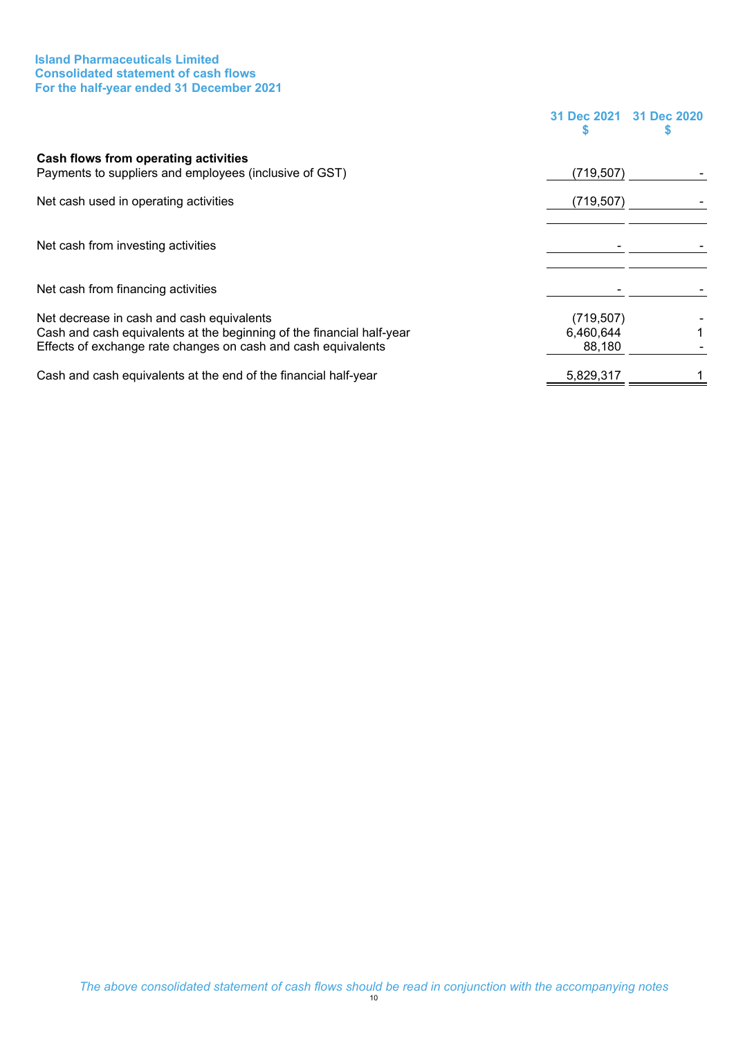#### **Island Pharmaceuticals Limited Consolidated statement of cash flows For the half-year ended 31 December 2021**

<span id="page-12-0"></span>

|                                                                                                                                                                                     | 31 Dec 2021 31 Dec 2020           |  |
|-------------------------------------------------------------------------------------------------------------------------------------------------------------------------------------|-----------------------------------|--|
| Cash flows from operating activities<br>Payments to suppliers and employees (inclusive of GST)                                                                                      | (719, 507)                        |  |
| Net cash used in operating activities                                                                                                                                               | (719, 507)                        |  |
| Net cash from investing activities                                                                                                                                                  |                                   |  |
| Net cash from financing activities                                                                                                                                                  |                                   |  |
| Net decrease in cash and cash equivalents<br>Cash and cash equivalents at the beginning of the financial half-year<br>Effects of exchange rate changes on cash and cash equivalents | (719, 507)<br>6,460,644<br>88,180 |  |
| Cash and cash equivalents at the end of the financial half-year                                                                                                                     | 5,829,317                         |  |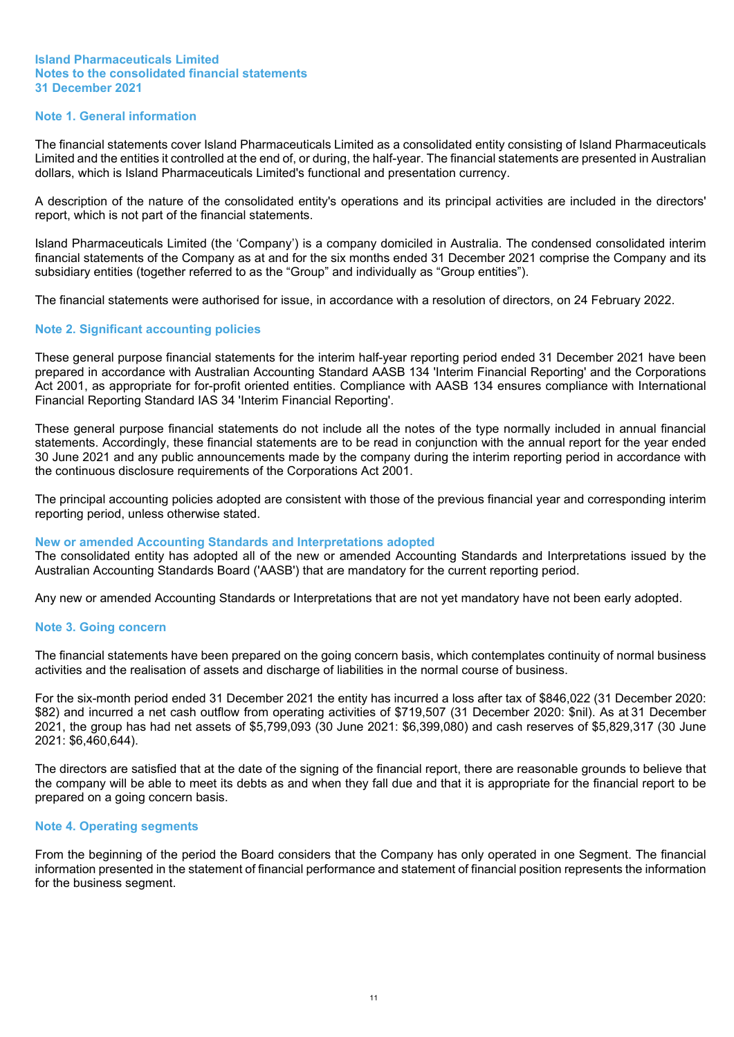#### **Island Pharmaceuticals Limited Notes to the consolidated financial statements 31 December 2021**

#### <span id="page-13-0"></span>**Note 1. General information**

The financial statements cover Island Pharmaceuticals Limited as a consolidated entity consisting of Island Pharmaceuticals Limited and the entities it controlled at the end of, or during, the half-year. The financial statements are presented in Australian dollars, which is Island Pharmaceuticals Limited's functional and presentation currency.

A description of the nature of the consolidated entity's operations and its principal activities are included in the directors' report, which is not part of the financial statements.

Island Pharmaceuticals Limited (the 'Company') is a company domiciled in Australia. The condensed consolidated interim financial statements of the Company as at and for the six months ended 31 December 2021 comprise the Company and its subsidiary entities (together referred to as the "Group" and individually as "Group entities").

The financial statements were authorised for issue, in accordance with a resolution of directors, on 24 February 2022.

#### **Note 2. Significant accounting policies**

These general purpose financial statements for the interim half-year reporting period ended 31 December 2021 have been prepared in accordance with Australian Accounting Standard AASB 134 'Interim Financial Reporting' and the Corporations Act 2001, as appropriate for for-profit oriented entities. Compliance with AASB 134 ensures compliance with International Financial Reporting Standard IAS 34 'Interim Financial Reporting'.

These general purpose financial statements do not include all the notes of the type normally included in annual financial statements. Accordingly, these financial statements are to be read in conjunction with the annual report for the year ended 30 June 2021 and any public announcements made by the company during the interim reporting period in accordance with the continuous disclosure requirements of the Corporations Act 2001.

The principal accounting policies adopted are consistent with those of the previous financial year and corresponding interim reporting period, unless otherwise stated.

#### **New or amended Accounting Standards and Interpretations adopted**

The consolidated entity has adopted all of the new or amended Accounting Standards and Interpretations issued by the Australian Accounting Standards Board ('AASB') that are mandatory for the current reporting period.

Any new or amended Accounting Standards or Interpretations that are not yet mandatory have not been early adopted.

#### **Note 3. Going concern**

The financial statements have been prepared on the going concern basis, which contemplates continuity of normal business activities and the realisation of assets and discharge of liabilities in the normal course of business.

For the six-month period ended 31 December 2021 the entity has incurred a loss after tax of \$846,022 (31 December 2020: \$82) and incurred a net cash outflow from operating activities of \$719,507 (31 December 2020: \$nil). As at 31 December 2021, the group has had net assets of \$5,799,093 (30 June 2021: \$6,399,080) and cash reserves of \$5,829,317 (30 June 2021: \$6,460,644).

The directors are satisfied that at the date of the signing of the financial report, there are reasonable grounds to believe that the company will be able to meet its debts as and when they fall due and that it is appropriate for the financial report to be prepared on a going concern basis.

#### **Note 4. Operating segments**

From the beginning of the period the Board considers that the Company has only operated in one Segment. The financial information presented in the statement of financial performance and statement of financial position represents the information for the business segment.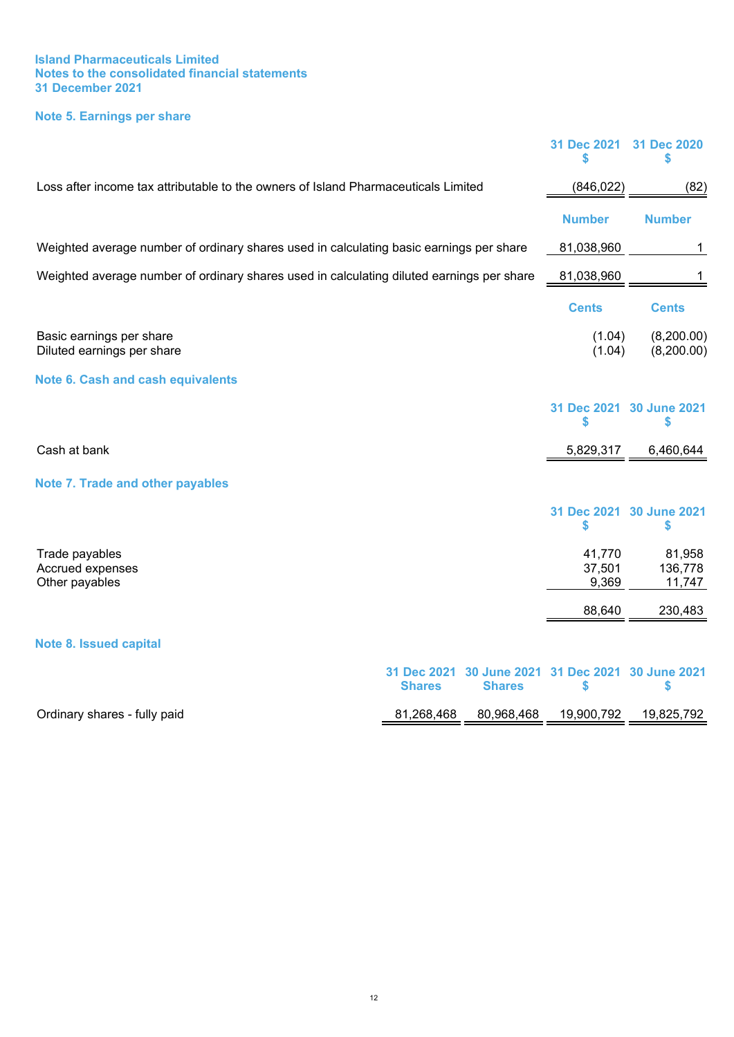#### **Island Pharmaceuticals Limited Notes to the consolidated financial statements 31 December 2021**

### <span id="page-14-0"></span>**Note 5. Earnings per share**

<span id="page-14-3"></span><span id="page-14-2"></span><span id="page-14-1"></span>

|                                                                                           |                              |                                      | 31 Dec 2021<br>\$         | 31 Dec 2020<br>S               |
|-------------------------------------------------------------------------------------------|------------------------------|--------------------------------------|---------------------------|--------------------------------|
| Loss after income tax attributable to the owners of Island Pharmaceuticals Limited        |                              |                                      | (846, 022)                | (82)                           |
|                                                                                           |                              |                                      | <b>Number</b>             | <b>Number</b>                  |
| Weighted average number of ordinary shares used in calculating basic earnings per share   |                              |                                      | 81,038,960                | 1                              |
| Weighted average number of ordinary shares used in calculating diluted earnings per share |                              |                                      | 81,038,960                | 1                              |
|                                                                                           |                              |                                      | <b>Cents</b>              | <b>Cents</b>                   |
| Basic earnings per share<br>Diluted earnings per share                                    |                              |                                      | (1.04)<br>(1.04)          | (8,200.00)<br>(8,200.00)       |
| <b>Note 6. Cash and cash equivalents</b>                                                  |                              |                                      |                           |                                |
|                                                                                           |                              |                                      | \$                        | 31 Dec 2021 30 June 2021<br>\$ |
| Cash at bank                                                                              |                              |                                      | 5,829,317                 | 6,460,644                      |
| <b>Note 7. Trade and other payables</b>                                                   |                              |                                      |                           |                                |
|                                                                                           |                              |                                      | \$                        | 31 Dec 2021 30 June 2021<br>\$ |
| Trade payables<br>Accrued expenses<br>Other payables                                      |                              |                                      | 41,770<br>37,501<br>9,369 | 81,958<br>136,778<br>11,747    |
|                                                                                           |                              |                                      | 88,640                    | 230,483                        |
| <b>Note 8. Issued capital</b>                                                             |                              |                                      |                           |                                |
|                                                                                           | 31 Dec 2021<br><b>Shares</b> | <b>30 June 2021</b><br><b>Shares</b> | 31 Dec 2021<br>\$         | <b>30 June 2021</b><br>\$      |
| Ordinary shares - fully paid                                                              | 81,268,468                   | 80,968,468                           | 19,900,792                | 19,825,792                     |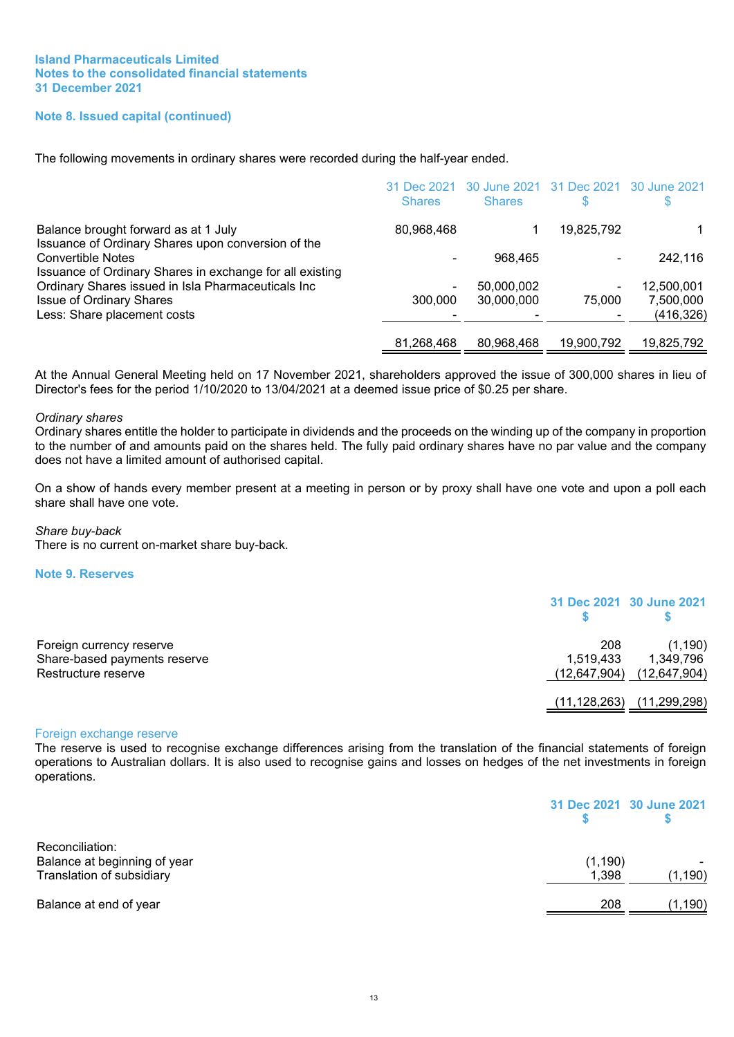#### **Note 8. Issued capital (continued)**

The following movements in ordinary shares were recorded during the half-year ended.

|                                                                                                                                            | 31 Dec 2021<br><b>Shares</b> | 30 June 2021 31 Dec 2021<br><b>Shares</b> |            | 30 June 2021 |
|--------------------------------------------------------------------------------------------------------------------------------------------|------------------------------|-------------------------------------------|------------|--------------|
| Balance brought forward as at 1 July                                                                                                       | 80,968,468                   |                                           | 19,825,792 |              |
| Issuance of Ordinary Shares upon conversion of the<br><b>Convertible Notes</b><br>Issuance of Ordinary Shares in exchange for all existing |                              | 968.465                                   |            | 242,116      |
| Ordinary Shares issued in Isla Pharmaceuticals Inc                                                                                         | $\blacksquare$               | 50,000,002                                |            | 12,500,001   |
| <b>Issue of Ordinary Shares</b>                                                                                                            | 300,000                      | 30,000,000                                | 75,000     | 7,500,000    |
| Less: Share placement costs                                                                                                                |                              |                                           |            | (416,326)    |
|                                                                                                                                            | 81.268.468                   | 80,968,468                                | 19.900.792 | 19,825,792   |

At the Annual General Meeting held on 17 November 2021, shareholders approved the issue of 300,000 shares in lieu of Director's fees for the period 1/10/2020 to 13/04/2021 at a deemed issue price of \$0.25 per share.

#### *Ordinary shares*

Ordinary shares entitle the holder to participate in dividends and the proceeds on the winding up of the company in proportion to the number of and amounts paid on the shares held. The fully paid ordinary shares have no par value and the company does not have a limited amount of authorised capital.

On a show of hands every member present at a meeting in person or by proxy shall have one vote and upon a poll each share shall have one vote.

#### *Share buy-back*

There is no current on-market share buy-back.

#### <span id="page-15-0"></span>**Note 9. Reserves**

|                              |                | 31 Dec 2021 30 June 2021      |
|------------------------------|----------------|-------------------------------|
| Foreign currency reserve     | 208            | (1, 190)                      |
| Share-based payments reserve | 1,519,433      | 1,349,796                     |
| Restructure reserve          |                | $(12,647,904)$ $(12,647,904)$ |
|                              | (11, 128, 263) | (11, 299, 298)                |

#### Foreign exchange reserve

The reserve is used to recognise exchange differences arising from the translation of the financial statements of foreign operations to Australian dollars. It is also used to recognise gains and losses on hedges of the net investments in foreign operations.

|                                                                              |                   | 31 Dec 2021 30 June 2021 |
|------------------------------------------------------------------------------|-------------------|--------------------------|
| Reconciliation:<br>Balance at beginning of year<br>Translation of subsidiary | (1, 190)<br>1,398 | (1, 190)                 |
| Balance at end of year                                                       | 208               | (1, 190)                 |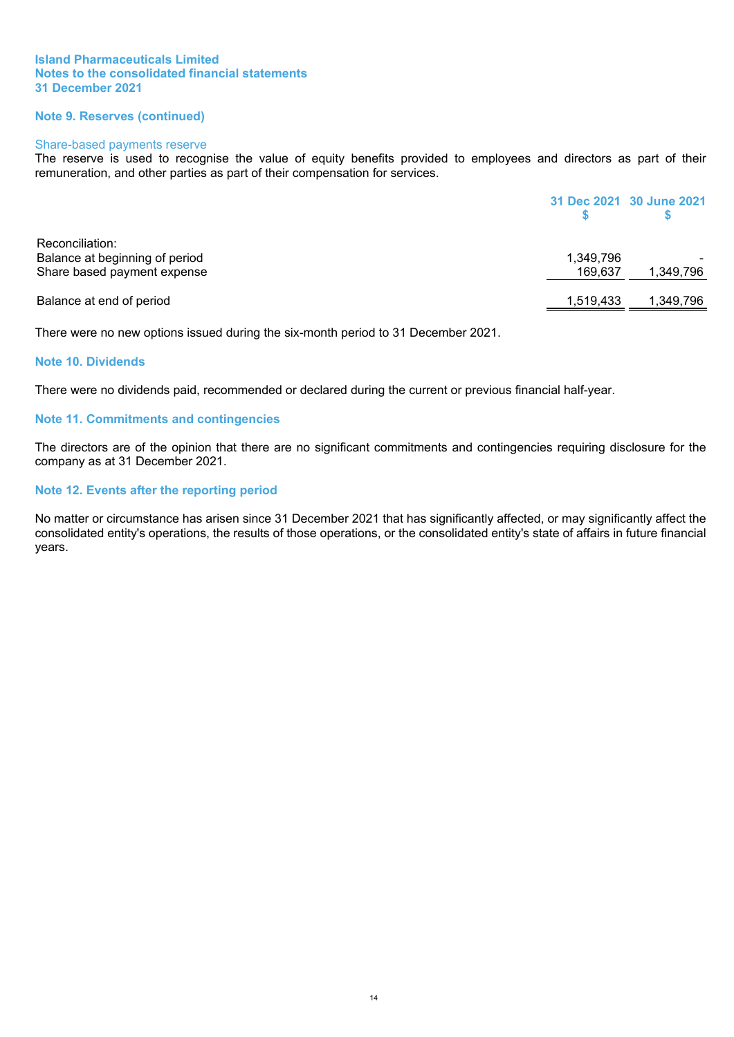#### **Island Pharmaceuticals Limited Notes to the consolidated financial statements 31 December 2021**

#### **Note 9. Reserves (continued)**

#### Share-based payments reserve

The reserve is used to recognise the value of equity benefits provided to employees and directors as part of their remuneration, and other parties as part of their compensation for services.

|                                |           | 31 Dec 2021 30 June 2021 |
|--------------------------------|-----------|--------------------------|
| Reconciliation:                |           |                          |
| Balance at beginning of period | 1,349,796 |                          |
| Share based payment expense    | 169.637   | 1,349,796                |
| Balance at end of period       | 1,519,433 | 1,349,796                |

There were no new options issued during the six-month period to 31 December 2021.

#### **Note 10. Dividends**

There were no dividends paid, recommended or declared during the current or previous financial half-year.

#### **Note 11. Commitments and contingencies**

The directors are of the opinion that there are no significant commitments and contingencies requiring disclosure for the company as at 31 December 2021.

#### **Note 12. Events after the reporting period**

No matter or circumstance has arisen since 31 December 2021 that has significantly affected, or may significantly affect the consolidated entity's operations, the results of those operations, or the consolidated entity's state of affairs in future financial years.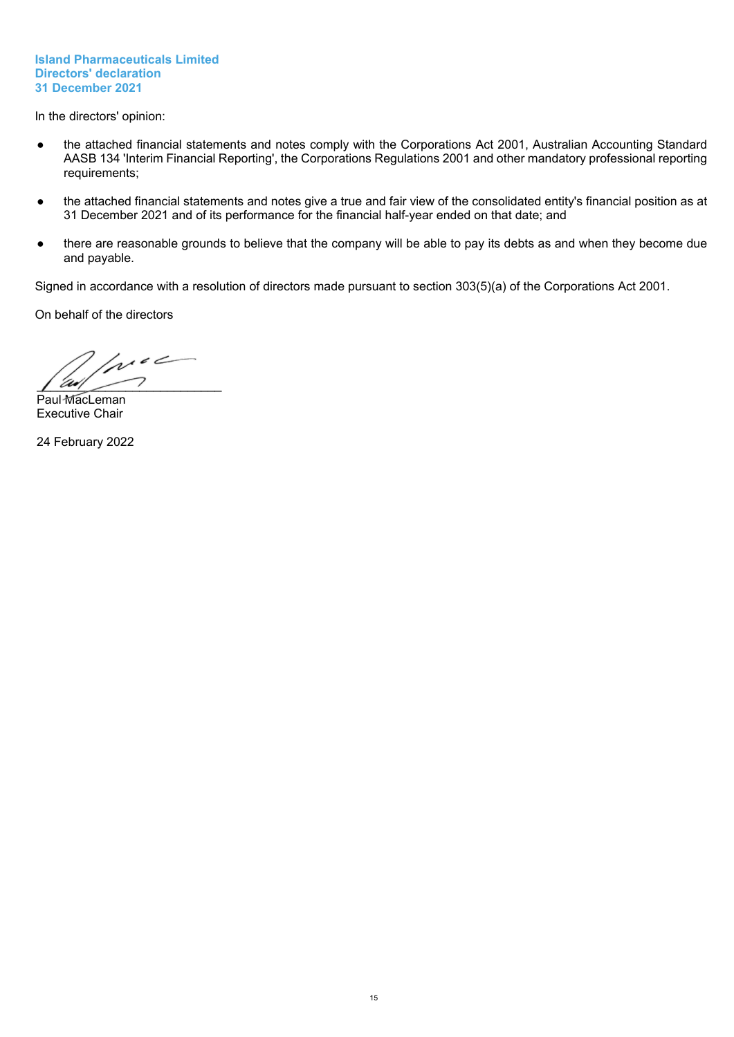#### **Island Pharmaceuticals Limited Directors' declaration 31 December 2021**

<span id="page-17-0"></span>In the directors' opinion:

- the attached financial statements and notes comply with the Corporations Act 2001, Australian Accounting Standard AASB 134 'Interim Financial Reporting', the Corporations Regulations 2001 and other mandatory professional reporting requirements;
- the attached financial statements and notes give a true and fair view of the consolidated entity's financial position as at 31 December 2021 and of its performance for the financial half-year ended on that date; and
- there are reasonable grounds to believe that the company will be able to pay its debts as and when they become due and payable.

Signed in accordance with a resolution of directors made pursuant to section 303(5)(a) of the Corporations Act 2001.

On behalf of the directors

 $100<sup>o</sup>$  $\sqrt{2M}$ 

Paul MacLeman Executive Chair

24 February 2022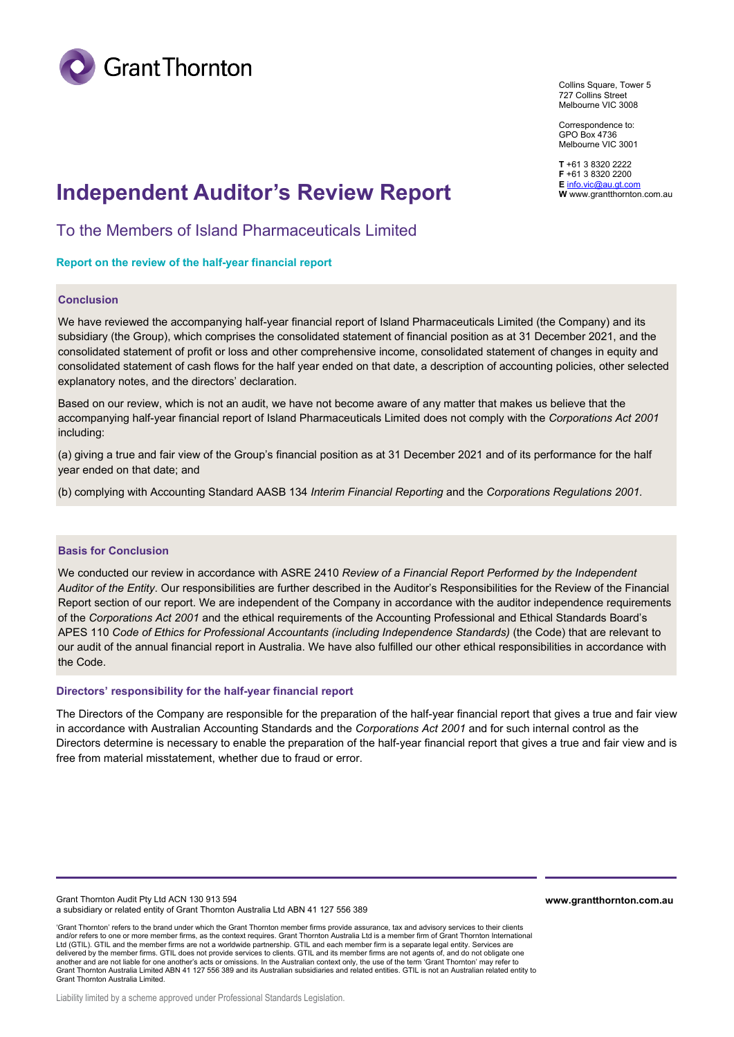

Collins Square, Tower 5 727 Collins Street Melbourne VIC 3008

Correspondence to: GPO Box 4736 Melbourne VIC 3001

**T** +61 3 8320 2222 **F** +61 3 8320 2200<br>**E** info.vic@au.gt.com

## **Independent Auditor's Review Report We also the Eli<u>nfo.vic@au.gt.com</u>.com.au</del>**

To the Members of Island Pharmaceuticals Limited

#### **Report on the review of the half-year financial report**

#### **Conclusion**

We have reviewed the accompanying half-year financial report of Island Pharmaceuticals Limited (the Company) and its subsidiary (the Group), which comprises the consolidated statement of financial position as at 31 December 2021, and the consolidated statement of profit or loss and other comprehensive income, consolidated statement of changes in equity and consolidated statement of cash flows for the half year ended on that date, a description of accounting policies, other selected explanatory notes, and the directors' declaration.

Based on our review, which is not an audit, we have not become aware of any matter that makes us believe that the accompanying half-year financial report of Island Pharmaceuticals Limited does not comply with the *Corporations Act 2001* including:

(a) giving a true and fair view of the Group's financial position as at 31 December 2021 and of its performance for the half year ended on that date; and

(b) complying with Accounting Standard AASB 134 *Interim Financial Reporting* and the *Corporations Regulations 2001.*

#### **Basis for Conclusion**

We conducted our review in accordance with ASRE 2410 *Review of a Financial Report Performed by the Independent Auditor of the Entity*. Our responsibilities are further described in the Auditor's Responsibilities for the Review of the Financial Report section of our report. We are independent of the Company in accordance with the auditor independence requirements of the *Corporations Act 2001* and the ethical requirements of the Accounting Professional and Ethical Standards Board's APES 110 *Code of Ethics for Professional Accountants (including Independence Standards)* (the Code) that are relevant to our audit of the annual financial report in Australia. We have also fulfilled our other ethical responsibilities in accordance with the Code.

#### **Directors' responsibility for the half-year financial report**

The Directors of the Company are responsible for the preparation of the half-year financial report that gives a true and fair view in accordance with Australian Accounting Standards and the *Corporations Act 2001* and for such internal control as the Directors determine is necessary to enable the preparation of the half-year financial report that gives a true and fair view and is free from material misstatement, whether due to fraud or error.

Grant Thornton Audit Pty Ltd ACN 130 913 594 a subsidiary or related entity of Grant Thornton Australia Ltd ABN 41 127 556 389

**www.grantthornton.com.au**

'Grant Thornton' refers to the brand under which the Grant Thornton member firms provide assurance, tax and advisory services to their clients and/or refers to one or more member firms, as the context requires. Grant Thornton Australia Ltd is a member firm of Grant Thornton International Ltd (GTIL). GTIL and the member firms are not a worldwide partnership. GTIL and each member firm is a separate legal entity. Services are delivered by the member firms. GTIL does not provide services to clients. GTIL and its member firms are not agents of, and do not obligate one another and are not liable for one another's acts or omissions. In the Australian context only, the use of the term 'Grant Thornton' may refer to<br>Grant Thornton Australia Limited ABN 41 127 556 389 and its Australian subsi Grant Thornton Australia Limited.